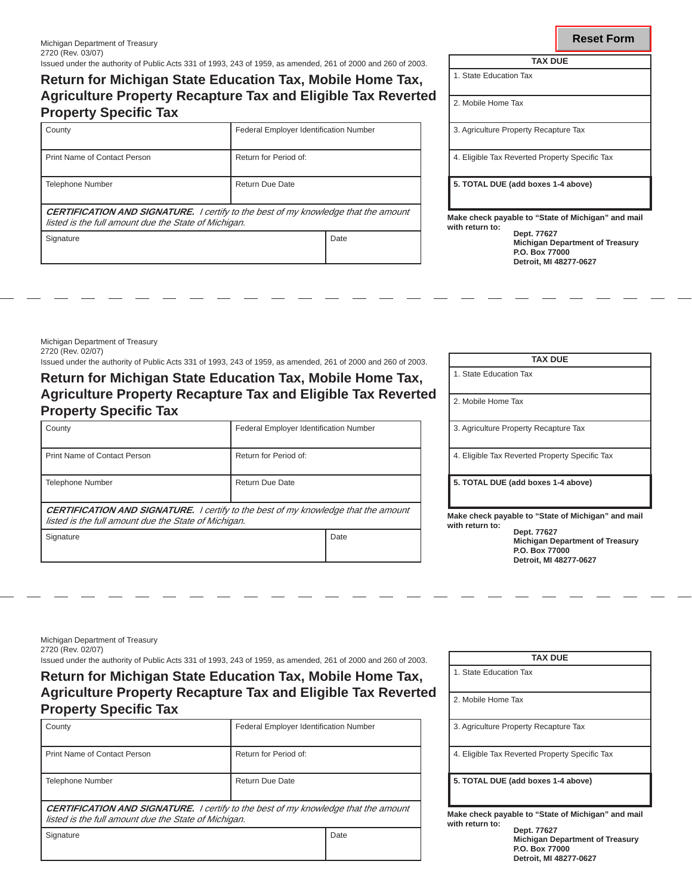# **Return for Michigan State Education Tax, Mobile Home Tax, Agriculture Property Recapture Tax and Eligible Tax Reverted Property Specific Tax**

| County                                                                                                                                            | <b>Federal Employer Identification Number</b> |      |  |
|---------------------------------------------------------------------------------------------------------------------------------------------------|-----------------------------------------------|------|--|
| Print Name of Contact Person                                                                                                                      | Return for Period of:                         |      |  |
| <b>Telephone Number</b>                                                                                                                           | Return Due Date                               |      |  |
| <b>CERTIFICATION AND SIGNATURE.</b> I certify to the best of my knowledge that the amount<br>listed is the full amount due the State of Michigan. |                                               |      |  |
| Signature                                                                                                                                         |                                               | Date |  |

| IAA UUE                                        |  |  |
|------------------------------------------------|--|--|
| 1. State Education Tax                         |  |  |
| 2. Mobile Home Tax                             |  |  |
| 3. Agriculture Property Recapture Tax          |  |  |
| 4. Eligible Tax Reverted Property Specific Tax |  |  |

**5. TOTAL DUE (add boxes 1-4 above)**

**Make check payable to "State of Michigan" and mail with return to: Dept. 77627**

**Michigan Department of Treasury P.O. Box 77000 Detroit, MI 48277-0627**

Michigan Department of Treasury 2720 (Rev. 02/07)

Issued under the authority of Public Acts 331 of 1993, 243 of 1959, as amended, 261 of 2000 and 260 of 2003.

**Return for Michigan State Education Tax, Mobile Home Tax, Agriculture Property Recapture Tax and Eligible Tax Reverted Property Specific Tax** 

| County                                                                                                                                            | Federal Employer Identification Number |      |  |  |
|---------------------------------------------------------------------------------------------------------------------------------------------------|----------------------------------------|------|--|--|
| Print Name of Contact Person                                                                                                                      | Return for Period of:                  |      |  |  |
| <b>Telephone Number</b>                                                                                                                           | Return Due Date                        |      |  |  |
| <b>CERTIFICATION AND SIGNATURE.</b> I certify to the best of my knowledge that the amount<br>listed is the full amount due the State of Michigan. |                                        |      |  |  |
| Signature                                                                                                                                         |                                        | Date |  |  |

| <b>TAX DUE</b>                                                                       |  |  |
|--------------------------------------------------------------------------------------|--|--|
| 1. State Education Tax                                                               |  |  |
| 2. Mobile Home Tax                                                                   |  |  |
| 3. Agriculture Property Recapture Tax                                                |  |  |
| 4. Eligible Tax Reverted Property Specific Tax                                       |  |  |
| 5. TOTAL DUE (add boxes 1-4 above)                                                   |  |  |
| Make check payable to "State of Michigan" and mail<br>with return to:<br>Dept. 77627 |  |  |
| <b>Michigan Department of Treasury</b><br>P.O. Box 77000                             |  |  |

**Detroit, MI 48277-0627**

Michigan Department of Treasury 2720 (Rev. 02/07)

Issued under the authority of Public Acts 331 of 1993, 243 of 1959, as amended, 261 of 2000 and 260 of 2003. **TAX DUE**

## **Return for Michigan State Education Tax, Mobile Home Tax, Agriculture Property Recapture Tax and Eligible Tax Reverted Property Specific Tax**

| County                                                                                                                                            | <b>Federal Employer Identification Number</b> |  |
|---------------------------------------------------------------------------------------------------------------------------------------------------|-----------------------------------------------|--|
| Print Name of Contact Person                                                                                                                      | Return for Period of:                         |  |
| <b>Telephone Number</b>                                                                                                                           | Return Due Date                               |  |
| <b>CERTIFICATION AND SIGNATURE.</b> I certify to the best of my knowledge that the amount<br>listed is the full amount due the State of Michigan. |                                               |  |

Signature

2. Mobile Home Tax 3. Agriculture Property Recapture Tax 4. Eligible Tax Reverted Property Specific Tax

**5. TOTAL DUE (add boxes 1-4 above)**

1. State Education Tax

**Make check payable to "State of Michigan" and mail with return to:**

**Dept. 77627 Michigan Department of Treasury P.O. Box 77000 Detroit, MI 48277-0627**

| ۰, | . .<br>œ | ٦<br>۰.<br>- - - |  |
|----|----------|------------------|--|
|    |          |                  |  |